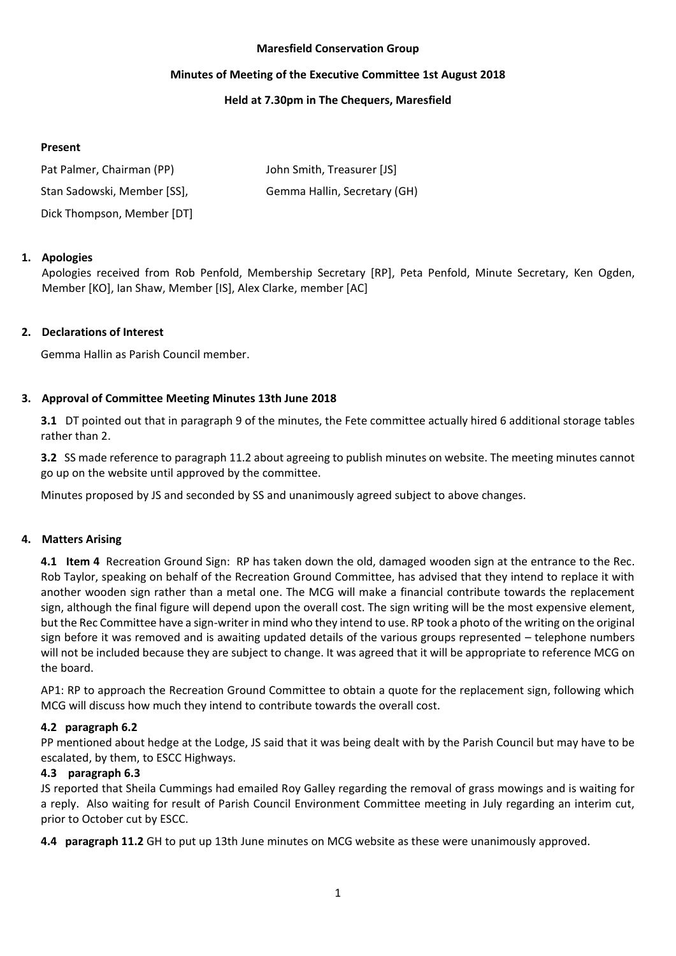### **Maresfield Conservation Group**

### **Minutes of Meeting of the Executive Committee 1st August 2018**

## **Held at 7.30pm in The Chequers, Maresfield**

## **Present**

| Pat Palmer, Chairman (PP)   | John Smith, Treasurer [JS]   |
|-----------------------------|------------------------------|
| Stan Sadowski, Member [SS], | Gemma Hallin, Secretary (GH) |
| Dick Thompson, Member [DT]  |                              |

# **1. Apologies**

Apologies received from Rob Penfold, Membership Secretary [RP], Peta Penfold, Minute Secretary, Ken Ogden, Member [KO], Ian Shaw, Member [IS], Alex Clarke, member [AC]

## **2. Declarations of Interest**

Gemma Hallin as Parish Council member.

## **3. Approval of Committee Meeting Minutes 13th June 2018**

**3.1** DT pointed out that in paragraph 9 of the minutes, the Fete committee actually hired 6 additional storage tables rather than 2.

**3.2** SS made reference to paragraph 11.2 about agreeing to publish minutes on website. The meeting minutes cannot go up on the website until approved by the committee.

Minutes proposed by JS and seconded by SS and unanimously agreed subject to above changes.

### **4. Matters Arising**

**4.1 Item 4** Recreation Ground Sign:RP has taken down the old, damaged wooden sign at the entrance to the Rec. Rob Taylor, speaking on behalf of the Recreation Ground Committee, has advised that they intend to replace it with another wooden sign rather than a metal one. The MCG will make a financial contribute towards the replacement sign, although the final figure will depend upon the overall cost. The sign writing will be the most expensive element, but the Rec Committee have a sign-writer in mind who they intend to use. RP took a photo of the writing on the original sign before it was removed and is awaiting updated details of the various groups represented – telephone numbers will not be included because they are subject to change. It was agreed that it will be appropriate to reference MCG on the board.

AP1: RP to approach the Recreation Ground Committee to obtain a quote for the replacement sign, following which MCG will discuss how much they intend to contribute towards the overall cost.

# **4.2 paragraph 6.2**

PP mentioned about hedge at the Lodge, JS said that it was being dealt with by the Parish Council but may have to be escalated, by them, to ESCC Highways.

# **4.3 paragraph 6.3**

JS reported that Sheila Cummings had emailed Roy Galley regarding the removal of grass mowings and is waiting for a reply. Also waiting for result of Parish Council Environment Committee meeting in July regarding an interim cut, prior to October cut by ESCC.

**4.4 paragraph 11.2** GH to put up 13th June minutes on MCG website as these were unanimously approved.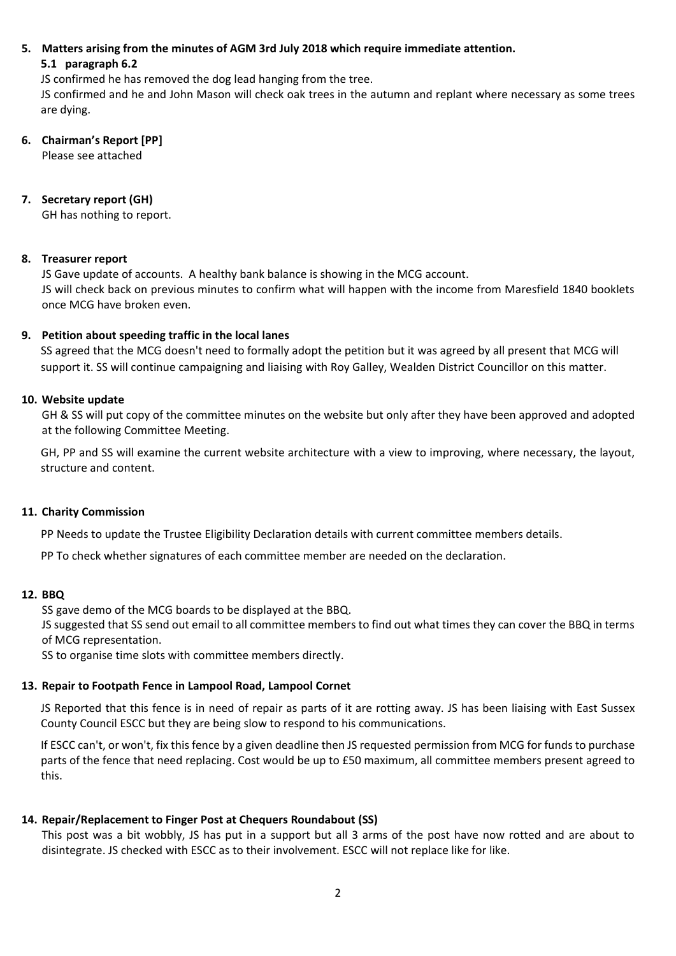# **5. Matters arising from the minutes of AGM 3rd July 2018 which require immediate attention. 5.1 paragraph 6.2**

JS confirmed he has removed the dog lead hanging from the tree.

JS confirmed and he and John Mason will check oak trees in the autumn and replant where necessary as some trees are dying.

## **6. Chairman's Report [PP]** Please see attached

# **7. Secretary report (GH)**

GH has nothing to report.

# **8. Treasurer report**

JS Gave update of accounts. A healthy bank balance is showing in the MCG account. JS will check back on previous minutes to confirm what will happen with the income from Maresfield 1840 booklets once MCG have broken even.

## **9. Petition about speeding traffic in the local lanes**

SS agreed that the MCG doesn't need to formally adopt the petition but it was agreed by all present that MCG will support it. SS will continue campaigning and liaising with Roy Galley, Wealden District Councillor on this matter.

## **10. Website update**

GH & SS will put copy of the committee minutes on the website but only after they have been approved and adopted at the following Committee Meeting.

GH, PP and SS will examine the current website architecture with a view to improving, where necessary, the layout, structure and content.

### **11. Charity Commission**

PP Needs to update the Trustee Eligibility Declaration details with current committee members details.

PP To check whether signatures of each committee member are needed on the declaration.

### **12. BBQ**

SS gave demo of the MCG boards to be displayed at the BBQ.

JS suggested that SS send out email to all committee members to find out what times they can cover the BBQ in terms of MCG representation.

SS to organise time slots with committee members directly.

# **13. Repair to Footpath Fence in Lampool Road, Lampool Cornet**

JS Reported that this fence is in need of repair as parts of it are rotting away. JS has been liaising with East Sussex County Council ESCC but they are being slow to respond to his communications.

If ESCC can't, or won't, fix this fence by a given deadline then JS requested permission from MCG for funds to purchase parts of the fence that need replacing. Cost would be up to £50 maximum, all committee members present agreed to this.

# **14. Repair/Replacement to Finger Post at Chequers Roundabout (SS)**

This post was a bit wobbly, JS has put in a support but all 3 arms of the post have now rotted and are about to disintegrate. JS checked with ESCC as to their involvement. ESCC will not replace like for like.